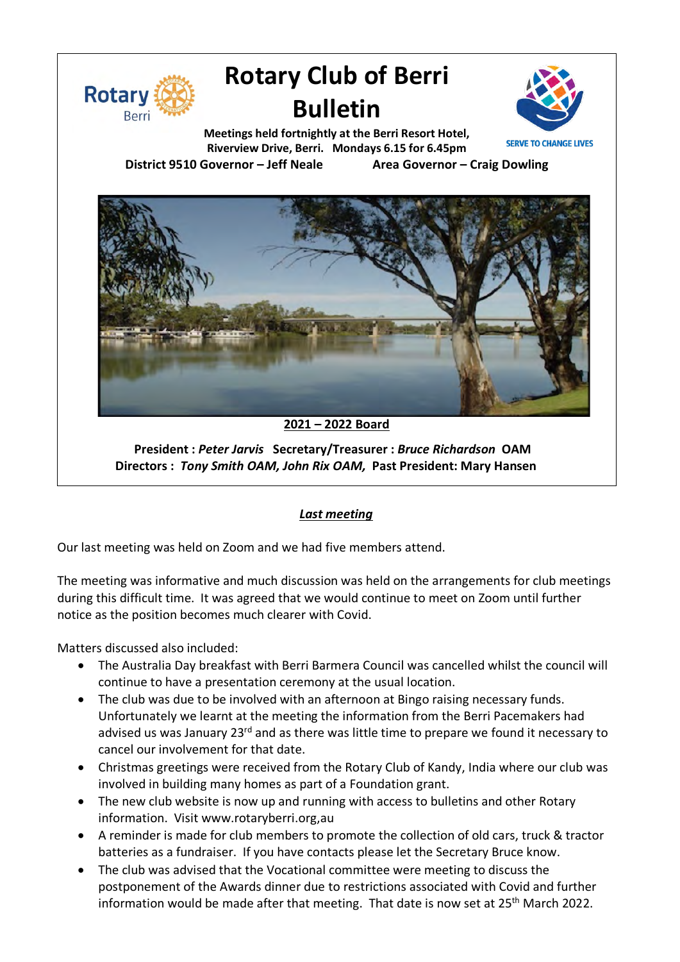

# **Rotary Club of Berri Bulletin**



**Meetings held fortnightly at the Berri Resort Hotel, Riverview Drive, Berri. Mondays 6.15 for 6.45pm District 9510 Governor – Jeff Neale Area Governor – Craig Dowling**

**2021 – 2022 Board**

**President :** *Peter Jarvis* **Secretary/Treasurer :** *Bruce Richardson* **OAM Directors :** *Tony Smith OAM, John Rix OAM,* **Past President: Mary Hansen**

### *Last meeting*

Our last meeting was held on Zoom and we had five members attend.

The meeting was informative and much discussion was held on the arrangements for club meetings during this difficult time. It was agreed that we would continue to meet on Zoom until further notice as the position becomes much clearer with Covid.

Matters discussed also included:

- The Australia Day breakfast with Berri Barmera Council was cancelled whilst the council will continue to have a presentation ceremony at the usual location.
- The club was due to be involved with an afternoon at Bingo raising necessary funds. Unfortunately we learnt at the meeting the information from the Berri Pacemakers had advised us was January 23<sup>rd</sup> and as there was little time to prepare we found it necessary to cancel our involvement for that date.
- Christmas greetings were received from the Rotary Club of Kandy, India where our club was involved in building many homes as part of a Foundation grant.
- The new club website is now up and running with access to bulletins and other Rotary information. Visit www.rotaryberri.org,au
- A reminder is made for club members to promote the collection of old cars, truck & tractor batteries as a fundraiser. If you have contacts please let the Secretary Bruce know.
- The club was advised that the Vocational committee were meeting to discuss the postponement of the Awards dinner due to restrictions associated with Covid and further information would be made after that meeting. That date is now set at 25<sup>th</sup> March 2022.